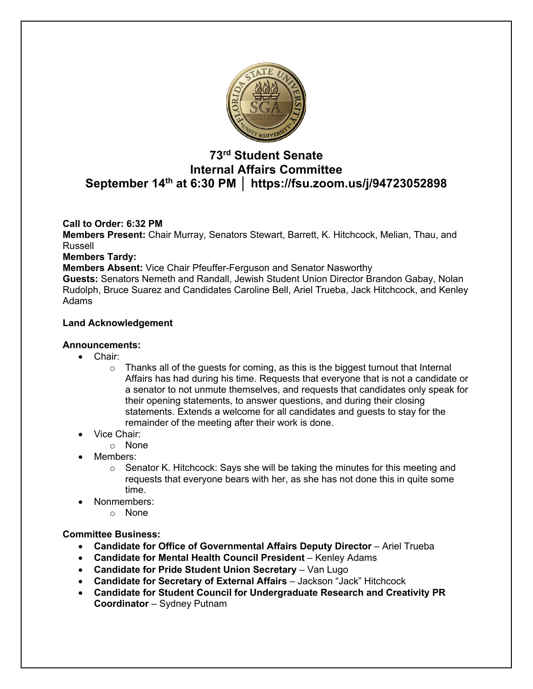

# **73rd Student Senate Internal Affairs Committee September 14th at 6:30 PM │ https://fsu.zoom.us/j/94723052898**

## **Call to Order: 6:32 PM**

**Members Present:** Chair Murray, Senators Stewart, Barrett, K. Hitchcock, Melian, Thau, and Russell

**Members Tardy:** 

**Members Absent:** Vice Chair Pfeuffer-Ferguson and Senator Nasworthy

**Guests:** Senators Nemeth and Randall, Jewish Student Union Director Brandon Gabay, Nolan Rudolph, Bruce Suarez and Candidates Caroline Bell, Ariel Trueba, Jack Hitchcock, and Kenley Adams

## **Land Acknowledgement**

#### **Announcements:**

- Chair:
	- $\circ$  Thanks all of the quests for coming, as this is the biggest turnout that Internal Affairs has had during his time. Requests that everyone that is not a candidate or a senator to not unmute themselves, and requests that candidates only speak for their opening statements, to answer questions, and during their closing statements. Extends a welcome for all candidates and guests to stay for the remainder of the meeting after their work is done.
- Vice Chair:
	- o None
- Members:
	- $\circ$  Senator K. Hitchcock: Says she will be taking the minutes for this meeting and requests that everyone bears with her, as she has not done this in quite some time.
- Nonmembers:
	- o None

#### **Committee Business:**

- **Candidate for Office of Governmental Affairs Deputy Director** Ariel Trueba
- **Candidate for Mental Health Council President** Kenley Adams
- **Candidate for Pride Student Union Secretary** Van Lugo
- **Candidate for Secretary of External Affairs**  Jackson "Jack" Hitchcock
- **Candidate for Student Council for Undergraduate Research and Creativity PR Coordinator** – Sydney Putnam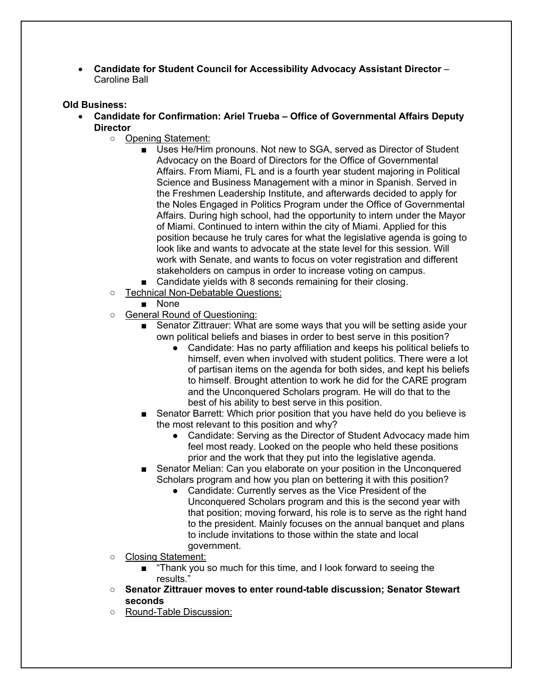• **Candidate for Student Council for Accessibility Advocacy Assistant Director** – Caroline Ball

#### **Old Business:**

- **Candidate for Confirmation: Ariel Trueba – Office of Governmental Affairs Deputy Director**
	- Opening Statement:
		- Uses He/Him pronouns. Not new to SGA, served as Director of Student Advocacy on the Board of Directors for the Office of Governmental Affairs. From Miami, FL and is a fourth year student majoring in Political Science and Business Management with a minor in Spanish. Served in the Freshmen Leadership Institute, and afterwards decided to apply for the Noles Engaged in Politics Program under the Office of Governmental Affairs. During high school, had the opportunity to intern under the Mayor of Miami. Continued to intern within the city of Miami. Applied for this position because he truly cares for what the legislative agenda is going to look like and wants to advocate at the state level for this session. Will work with Senate, and wants to focus on voter registration and different stakeholders on campus in order to increase voting on campus.
		- Candidate yields with 8 seconds remaining for their closing.
	- Technical Non-Debatable Questions:
		- None
	- General Round of Questioning:
		- Senator Zittrauer: What are some ways that you will be setting aside your own political beliefs and biases in order to best serve in this position?
			- Candidate: Has no party affiliation and keeps his political beliefs to himself, even when involved with student politics. There were a lot of partisan items on the agenda for both sides, and kept his beliefs to himself. Brought attention to work he did for the CARE program and the Unconquered Scholars program. He will do that to the best of his ability to best serve in this position.
		- Senator Barrett: Which prior position that you have held do you believe is the most relevant to this position and why?
			- Candidate: Serving as the Director of Student Advocacy made him feel most ready. Looked on the people who held these positions prior and the work that they put into the legislative agenda.
		- Senator Melian: Can you elaborate on your position in the Unconquered Scholars program and how you plan on bettering it with this position?
			- Candidate: Currently serves as the Vice President of the Unconquered Scholars program and this is the second year with that position; moving forward, his role is to serve as the right hand to the president. Mainly focuses on the annual banquet and plans to include invitations to those within the state and local government.
	- Closing Statement:
		- "Thank you so much for this time, and I look forward to seeing the results."
	- **Senator Zittrauer moves to enter round-table discussion; Senator Stewart seconds**
	- Round-Table Discussion: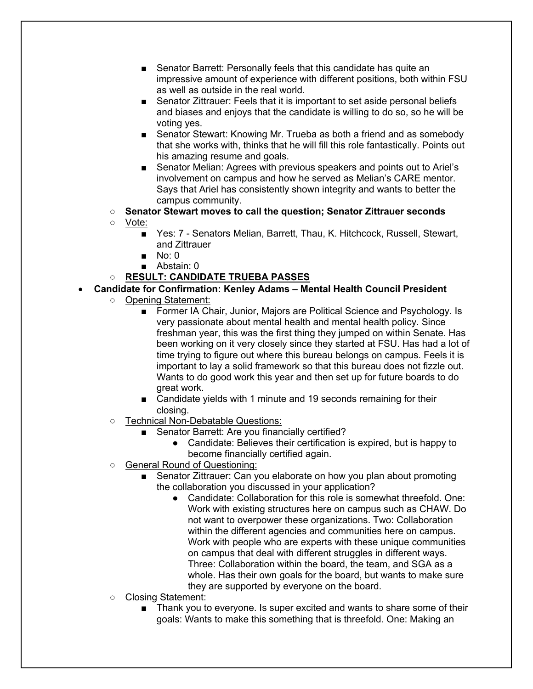- Senator Barrett: Personally feels that this candidate has quite an impressive amount of experience with different positions, both within FSU as well as outside in the real world.
- Senator Zittrauer: Feels that it is important to set aside personal beliefs and biases and enjoys that the candidate is willing to do so, so he will be voting yes.
- Senator Stewart: Knowing Mr. Trueba as both a friend and as somebody that she works with, thinks that he will fill this role fantastically. Points out his amazing resume and goals.
- Senator Melian: Agrees with previous speakers and points out to Ariel's involvement on campus and how he served as Melian's CARE mentor. Says that Ariel has consistently shown integrity and wants to better the campus community.
- **Senator Stewart moves to call the question; Senator Zittrauer seconds**
- Vote:
	- Yes: 7 Senators Melian, Barrett, Thau, K. Hitchcock, Russell, Stewart, and Zittrauer
	- $\blacksquare$  No: 0
	- Abstain: 0

# ○ **RESULT: CANDIDATE TRUEBA PASSES**

# • **Candidate for Confirmation: Kenley Adams – Mental Health Council President**

- Opening Statement:
	- Former IA Chair, Junior, Majors are Political Science and Psychology. Is very passionate about mental health and mental health policy. Since freshman year, this was the first thing they jumped on within Senate. Has been working on it very closely since they started at FSU. Has had a lot of time trying to figure out where this bureau belongs on campus. Feels it is important to lay a solid framework so that this bureau does not fizzle out. Wants to do good work this year and then set up for future boards to do great work.
	- Candidate yields with 1 minute and 19 seconds remaining for their closing.
- Technical Non-Debatable Questions:
	- Senator Barrett: Are you financially certified?
		- Candidate: Believes their certification is expired, but is happy to become financially certified again.
- General Round of Questioning:
	- Senator Zittrauer: Can you elaborate on how you plan about promoting the collaboration you discussed in your application?
		- Candidate: Collaboration for this role is somewhat threefold. One: Work with existing structures here on campus such as CHAW. Do not want to overpower these organizations. Two: Collaboration within the different agencies and communities here on campus. Work with people who are experts with these unique communities on campus that deal with different struggles in different ways. Three: Collaboration within the board, the team, and SGA as a whole. Has their own goals for the board, but wants to make sure they are supported by everyone on the board.
- Closing Statement:
	- Thank you to everyone. Is super excited and wants to share some of their goals: Wants to make this something that is threefold. One: Making an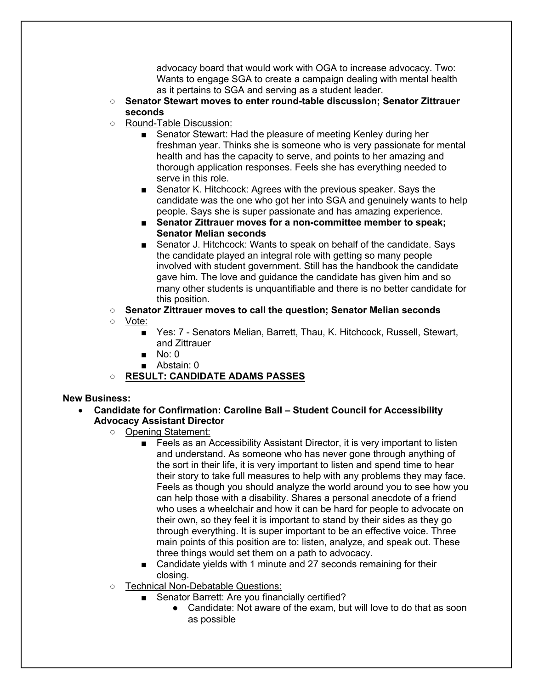advocacy board that would work with OGA to increase advocacy. Two: Wants to engage SGA to create a campaign dealing with mental health as it pertains to SGA and serving as a student leader.

- **Senator Stewart moves to enter round-table discussion; Senator Zittrauer seconds**
- Round-Table Discussion:
	- Senator Stewart: Had the pleasure of meeting Kenley during her freshman year. Thinks she is someone who is very passionate for mental health and has the capacity to serve, and points to her amazing and thorough application responses. Feels she has everything needed to serve in this role.
	- Senator K. Hitchcock: Agrees with the previous speaker. Says the candidate was the one who got her into SGA and genuinely wants to help people. Says she is super passionate and has amazing experience.
	- Senator Zittrauer moves for a non-committee member to speak: **Senator Melian seconds**
	- Senator J. Hitchcock: Wants to speak on behalf of the candidate. Says the candidate played an integral role with getting so many people involved with student government. Still has the handbook the candidate gave him. The love and guidance the candidate has given him and so many other students is unquantifiable and there is no better candidate for this position.
- **Senator Zittrauer moves to call the question; Senator Melian seconds**
- Vote:
	- Yes: 7 Senators Melian, Barrett, Thau, K. Hitchcock, Russell, Stewart, and Zittrauer
	- No: 0
	- Abstain: 0
- **RESULT: CANDIDATE ADAMS PASSES**

#### **New Business:**

- **Candidate for Confirmation: Caroline Ball – Student Council for Accessibility Advocacy Assistant Director**
	- Opening Statement:
		- Feels as an Accessibility Assistant Director, it is very important to listen and understand. As someone who has never gone through anything of the sort in their life, it is very important to listen and spend time to hear their story to take full measures to help with any problems they may face. Feels as though you should analyze the world around you to see how you can help those with a disability. Shares a personal anecdote of a friend who uses a wheelchair and how it can be hard for people to advocate on their own, so they feel it is important to stand by their sides as they go through everything. It is super important to be an effective voice. Three main points of this position are to: listen, analyze, and speak out. These three things would set them on a path to advocacy.
		- Candidate yields with 1 minute and 27 seconds remaining for their closing.
	- Technical Non-Debatable Questions:
		- Senator Barrett: Are you financially certified?
			- Candidate: Not aware of the exam, but will love to do that as soon as possible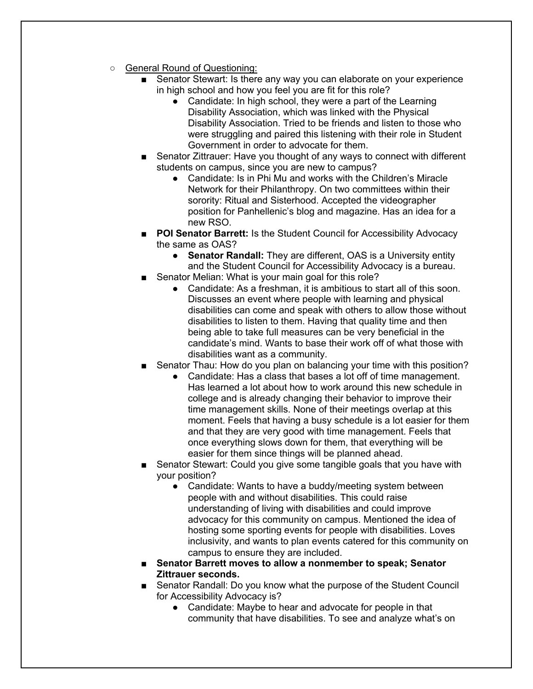- General Round of Questioning:
	- Senator Stewart: Is there any way you can elaborate on your experience in high school and how you feel you are fit for this role?
		- Candidate: In high school, they were a part of the Learning Disability Association, which was linked with the Physical Disability Association. Tried to be friends and listen to those who were struggling and paired this listening with their role in Student Government in order to advocate for them.
	- Senator Zittrauer: Have you thought of any ways to connect with different students on campus, since you are new to campus?
		- Candidate: Is in Phi Mu and works with the Children's Miracle Network for their Philanthropy. On two committees within their sorority: Ritual and Sisterhood. Accepted the videographer position for Panhellenic's blog and magazine. Has an idea for a new RSO.
	- **POI Senator Barrett:** Is the Student Council for Accessibility Advocacy the same as OAS?
		- **Senator Randall:** They are different, OAS is a University entity and the Student Council for Accessibility Advocacy is a bureau.
	- Senator Melian: What is your main goal for this role?
		- Candidate: As a freshman, it is ambitious to start all of this soon. Discusses an event where people with learning and physical disabilities can come and speak with others to allow those without disabilities to listen to them. Having that quality time and then being able to take full measures can be very beneficial in the candidate's mind. Wants to base their work off of what those with disabilities want as a community.
	- Senator Thau: How do you plan on balancing your time with this position?
		- Candidate: Has a class that bases a lot off of time management. Has learned a lot about how to work around this new schedule in college and is already changing their behavior to improve their time management skills. None of their meetings overlap at this moment. Feels that having a busy schedule is a lot easier for them and that they are very good with time management. Feels that once everything slows down for them, that everything will be easier for them since things will be planned ahead.
	- Senator Stewart: Could you give some tangible goals that you have with your position?
		- Candidate: Wants to have a buddy/meeting system between people with and without disabilities. This could raise understanding of living with disabilities and could improve advocacy for this community on campus. Mentioned the idea of hosting some sporting events for people with disabilities. Loves inclusivity, and wants to plan events catered for this community on campus to ensure they are included.
	- **Senator Barrett moves to allow a nonmember to speak; Senator Zittrauer seconds.**
	- Senator Randall: Do you know what the purpose of the Student Council for Accessibility Advocacy is?
		- Candidate: Maybe to hear and advocate for people in that community that have disabilities. To see and analyze what's on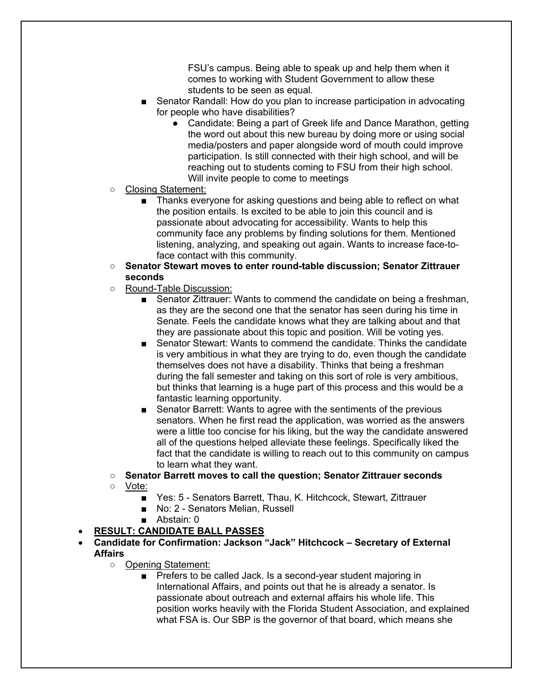FSU's campus. Being able to speak up and help them when it comes to working with Student Government to allow these students to be seen as equal.

- Senator Randall: How do you plan to increase participation in advocating for people who have disabilities?
	- Candidate: Being a part of Greek life and Dance Marathon, getting the word out about this new bureau by doing more or using social media/posters and paper alongside word of mouth could improve participation. Is still connected with their high school, and will be reaching out to students coming to FSU from their high school. Will invite people to come to meetings
- Closing Statement:
	- Thanks everyone for asking questions and being able to reflect on what the position entails. Is excited to be able to join this council and is passionate about advocating for accessibility. Wants to help this community face any problems by finding solutions for them. Mentioned listening, analyzing, and speaking out again. Wants to increase face-toface contact with this community.
- **Senator Stewart moves to enter round-table discussion; Senator Zittrauer seconds**
- Round-Table Discussion:
	- Senator Zittrauer: Wants to commend the candidate on being a freshman, as they are the second one that the senator has seen during his time in Senate. Feels the candidate knows what they are talking about and that they are passionate about this topic and position. Will be voting yes.
	- Senator Stewart: Wants to commend the candidate. Thinks the candidate is very ambitious in what they are trying to do, even though the candidate themselves does not have a disability. Thinks that being a freshman during the fall semester and taking on this sort of role is very ambitious, but thinks that learning is a huge part of this process and this would be a fantastic learning opportunity.
	- Senator Barrett: Wants to agree with the sentiments of the previous senators. When he first read the application, was worried as the answers were a little too concise for his liking, but the way the candidate answered all of the questions helped alleviate these feelings. Specifically liked the fact that the candidate is willing to reach out to this community on campus to learn what they want.
- **Senator Barrett moves to call the question; Senator Zittrauer seconds**
- Vote:
	- Yes: 5 Senators Barrett, Thau, K. Hitchcock, Stewart, Zittrauer
	- No: 2 Senators Melian, Russell
	- Abstain: 0
- **RESULT: CANDIDATE BALL PASSES**
- **Candidate for Confirmation: Jackson "Jack" Hitchcock – Secretary of External Affairs**
	- Opening Statement:
		- Prefers to be called Jack. Is a second-year student majoring in International Affairs, and points out that he is already a senator. Is passionate about outreach and external affairs his whole life. This position works heavily with the Florida Student Association, and explained what FSA is. Our SBP is the governor of that board, which means she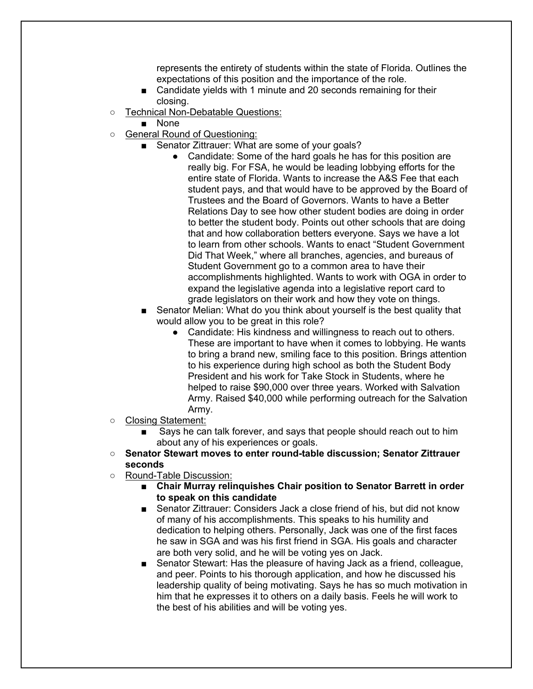represents the entirety of students within the state of Florida. Outlines the expectations of this position and the importance of the role.

- Candidate yields with 1 minute and 20 seconds remaining for their closing.
- Technical Non-Debatable Questions:
	- None
- General Round of Questioning:
	- Senator Zittrauer: What are some of your goals?
		- Candidate: Some of the hard goals he has for this position are really big. For FSA, he would be leading lobbying efforts for the entire state of Florida. Wants to increase the A&S Fee that each student pays, and that would have to be approved by the Board of Trustees and the Board of Governors. Wants to have a Better Relations Day to see how other student bodies are doing in order to better the student body. Points out other schools that are doing that and how collaboration betters everyone. Says we have a lot to learn from other schools. Wants to enact "Student Government Did That Week," where all branches, agencies, and bureaus of Student Government go to a common area to have their accomplishments highlighted. Wants to work with OGA in order to expand the legislative agenda into a legislative report card to grade legislators on their work and how they vote on things.
	- Senator Melian: What do you think about yourself is the best quality that would allow you to be great in this role?
		- Candidate: His kindness and willingness to reach out to others. These are important to have when it comes to lobbying. He wants to bring a brand new, smiling face to this position. Brings attention to his experience during high school as both the Student Body President and his work for Take Stock in Students, where he helped to raise \$90,000 over three years. Worked with Salvation Army. Raised \$40,000 while performing outreach for the Salvation Army.
- Closing Statement:
	- Says he can talk forever, and says that people should reach out to him about any of his experiences or goals.
- **Senator Stewart moves to enter round-table discussion; Senator Zittrauer seconds**
- Round-Table Discussion:
	- Chair Murray relinquishes Chair position to Senator Barrett in order **to speak on this candidate**
	- Senator Zittrauer: Considers Jack a close friend of his, but did not know of many of his accomplishments. This speaks to his humility and dedication to helping others. Personally, Jack was one of the first faces he saw in SGA and was his first friend in SGA. His goals and character are both very solid, and he will be voting yes on Jack.
	- Senator Stewart: Has the pleasure of having Jack as a friend, colleague, and peer. Points to his thorough application, and how he discussed his leadership quality of being motivating. Says he has so much motivation in him that he expresses it to others on a daily basis. Feels he will work to the best of his abilities and will be voting yes.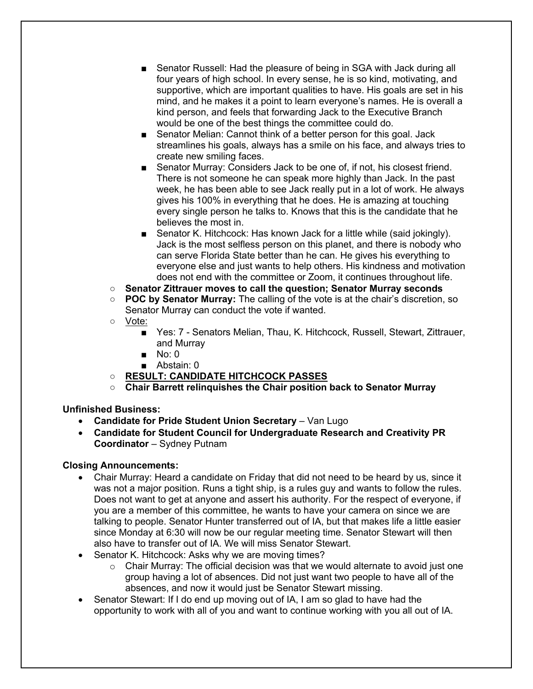- Senator Russell: Had the pleasure of being in SGA with Jack during all four years of high school. In every sense, he is so kind, motivating, and supportive, which are important qualities to have. His goals are set in his mind, and he makes it a point to learn everyone's names. He is overall a kind person, and feels that forwarding Jack to the Executive Branch would be one of the best things the committee could do.
- Senator Melian: Cannot think of a better person for this goal. Jack streamlines his goals, always has a smile on his face, and always tries to create new smiling faces.
- Senator Murray: Considers Jack to be one of, if not, his closest friend. There is not someone he can speak more highly than Jack. In the past week, he has been able to see Jack really put in a lot of work. He always gives his 100% in everything that he does. He is amazing at touching every single person he talks to. Knows that this is the candidate that he believes the most in.
- Senator K. Hitchcock: Has known Jack for a little while (said jokingly). Jack is the most selfless person on this planet, and there is nobody who can serve Florida State better than he can. He gives his everything to everyone else and just wants to help others. His kindness and motivation does not end with the committee or Zoom, it continues throughout life.
- **Senator Zittrauer moves to call the question; Senator Murray seconds**
- **POC by Senator Murray:** The calling of the vote is at the chair's discretion, so Senator Murray can conduct the vote if wanted.
- Vote:
	- Yes: 7 Senators Melian, Thau, K. Hitchcock, Russell, Stewart, Zittrauer, and Murray
	- $\blacksquare$  No: 0
	- Abstain: 0
- **RESULT: CANDIDATE HITCHCOCK PASSES**
- **Chair Barrett relinquishes the Chair position back to Senator Murray**

# **Unfinished Business:**

- **Candidate for Pride Student Union Secretary** Van Lugo
- **Candidate for Student Council for Undergraduate Research and Creativity PR Coordinator** – Sydney Putnam

# **Closing Announcements:**

- Chair Murray: Heard a candidate on Friday that did not need to be heard by us, since it was not a major position. Runs a tight ship, is a rules guy and wants to follow the rules. Does not want to get at anyone and assert his authority. For the respect of everyone, if you are a member of this committee, he wants to have your camera on since we are talking to people. Senator Hunter transferred out of IA, but that makes life a little easier since Monday at 6:30 will now be our regular meeting time. Senator Stewart will then also have to transfer out of IA. We will miss Senator Stewart.
- Senator K. Hitchcock: Asks why we are moving times?
	- $\circ$  Chair Murray: The official decision was that we would alternate to avoid just one group having a lot of absences. Did not just want two people to have all of the absences, and now it would just be Senator Stewart missing.
- Senator Stewart: If I do end up moving out of IA, I am so glad to have had the opportunity to work with all of you and want to continue working with you all out of IA.